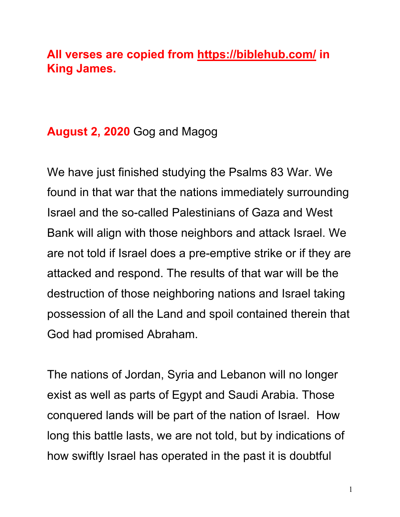# **All verses are copied from https://biblehub.com/ in King James.**

# **August 2, 2020** Gog and Magog

We have just finished studying the Psalms 83 War. We found in that war that the nations immediately surrounding Israel and the so-called Palestinians of Gaza and West Bank will align with those neighbors and attack Israel. We are not told if Israel does a pre-emptive strike or if they are attacked and respond. The results of that war will be the destruction of those neighboring nations and Israel taking possession of all the Land and spoil contained therein that God had promised Abraham.

The nations of Jordan, Syria and Lebanon will no longer exist as well as parts of Egypt and Saudi Arabia. Those conquered lands will be part of the nation of Israel. How long this battle lasts, we are not told, but by indications of how swiftly Israel has operated in the past it is doubtful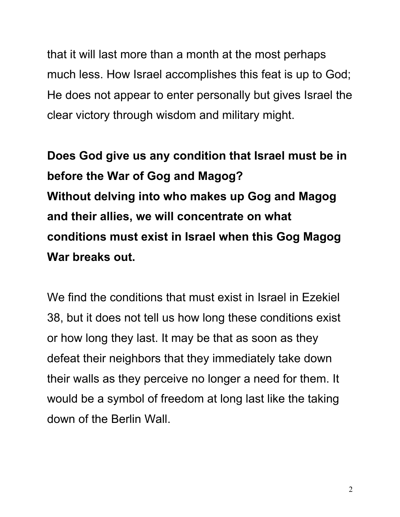that it will last more than a month at the most perhaps much less. How Israel accomplishes this feat is up to God; He does not appear to enter personally but gives Israel the clear victory through wisdom and military might.

**Does God give us any condition that Israel must be in before the War of Gog and Magog? Without delving into who makes up Gog and Magog and their allies, we will concentrate on what conditions must exist in Israel when this Gog Magog War breaks out.**

We find the conditions that must exist in Israel in Ezekiel 38, but it does not tell us how long these conditions exist or how long they last. It may be that as soon as they defeat their neighbors that they immediately take down their walls as they perceive no longer a need for them. It would be a symbol of freedom at long last like the taking down of the Berlin Wall.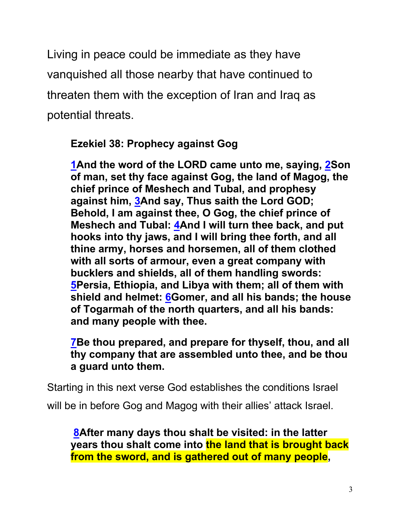Living in peace could be immediate as they have vanquished all those nearby that have continued to threaten them with the exception of Iran and Iraq as potential threats.

**Ezekiel 38: Prophecy against Gog**

**1And the word of the LORD came unto me, saying, 2Son of man, set thy face against Gog, the land of Magog, the chief prince of Meshech and Tubal, and prophesy against him, 3And say, Thus saith the Lord GOD; Behold, I am against thee, O Gog, the chief prince of Meshech and Tubal: 4And I will turn thee back, and put hooks into thy jaws, and I will bring thee forth, and all thine army, horses and horsemen, all of them clothed with all sorts of armour, even a great company with bucklers and shields, all of them handling swords: 5Persia, Ethiopia, and Libya with them; all of them with shield and helmet: 6Gomer, and all his bands; the house of Togarmah of the north quarters, and all his bands: and many people with thee.**

**7Be thou prepared, and prepare for thyself, thou, and all thy company that are assembled unto thee, and be thou a guard unto them.**

Starting in this next verse God establishes the conditions Israel

will be in before Gog and Magog with their allies' attack Israel.

**8After many days thou shalt be visited: in the latter years thou shalt come into the land that is brought back from the sword, and is gathered out of many people,**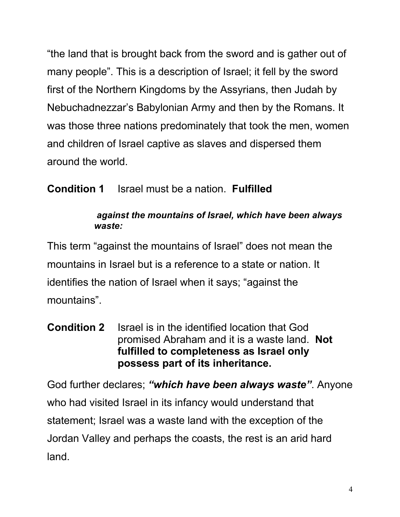"the land that is brought back from the sword and is gather out of many people". This is a description of Israel; it fell by the sword first of the Northern Kingdoms by the Assyrians, then Judah by Nebuchadnezzar's Babylonian Army and then by the Romans. It was those three nations predominately that took the men, women and children of Israel captive as slaves and dispersed them around the world.

# **Condition 1** Israel must be a nation. **Fulfilled**

### *against the mountains of Israel, which have been always waste:*

This term "against the mountains of Israel" does not mean the mountains in Israel but is a reference to a state or nation. It identifies the nation of Israel when it says; "against the mountains".

**Condition 2** Israel is in the identified location that God promised Abraham and it is a waste land. **Not fulfilled to completeness as Israel only possess part of its inheritance.**

God further declares; *"which have been always waste"*. Anyone who had visited Israel in its infancy would understand that statement; Israel was a waste land with the exception of the Jordan Valley and perhaps the coasts, the rest is an arid hard land.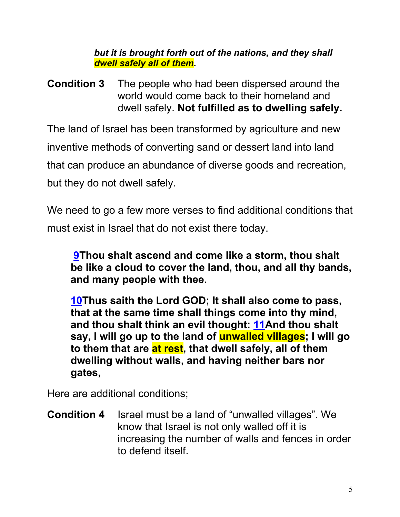*but it is brought forth out of the nations, and they shall dwell safely all of them.*

**Condition 3** The people who had been dispersed around the world would come back to their homeland and dwell safely. **Not fulfilled as to dwelling safely.**

The land of Israel has been transformed by agriculture and new inventive methods of converting sand or dessert land into land that can produce an abundance of diverse goods and recreation, but they do not dwell safely.

We need to go a few more verses to find additional conditions that must exist in Israel that do not exist there today.

**9Thou shalt ascend and come like a storm, thou shalt be like a cloud to cover the land, thou, and all thy bands, and many people with thee.**

**10Thus saith the Lord GOD; It shall also come to pass, that at the same time shall things come into thy mind, and thou shalt think an evil thought: 11And thou shalt say, I will go up to the land of unwalled villages; I will go to them that are at rest, that dwell safely, all of them dwelling without walls, and having neither bars nor gates,**

Here are additional conditions;

**Condition 4** Israel must be a land of "unwalled villages". We know that Israel is not only walled off it is increasing the number of walls and fences in order to defend itself.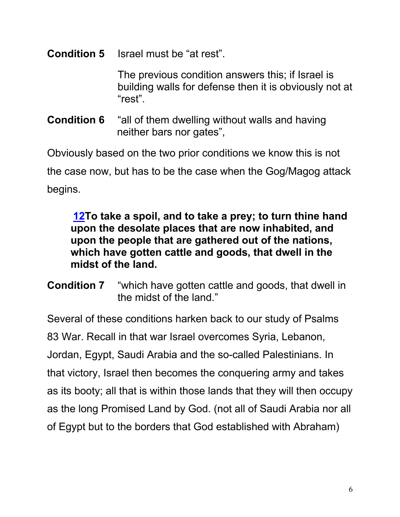### **Condition 5** Israel must be "at rest".

The previous condition answers this; if Israel is building walls for defense then it is obviously not at "rest".

**Condition 6** "all of them dwelling without walls and having neither bars nor gates",

Obviously based on the two prior conditions we know this is not the case now, but has to be the case when the Gog/Magog attack begins.

**12To take a spoil, and to take a prey; to turn thine hand upon the desolate places that are now inhabited, and upon the people that are gathered out of the nations, which have gotten cattle and goods, that dwell in the midst of the land.**

**Condition 7** "which have gotten cattle and goods, that dwell in the midst of the land."

Several of these conditions harken back to our study of Psalms 83 War. Recall in that war Israel overcomes Syria, Lebanon, Jordan, Egypt, Saudi Arabia and the so-called Palestinians. In that victory, Israel then becomes the conquering army and takes as its booty; all that is within those lands that they will then occupy as the long Promised Land by God. (not all of Saudi Arabia nor all of Egypt but to the borders that God established with Abraham)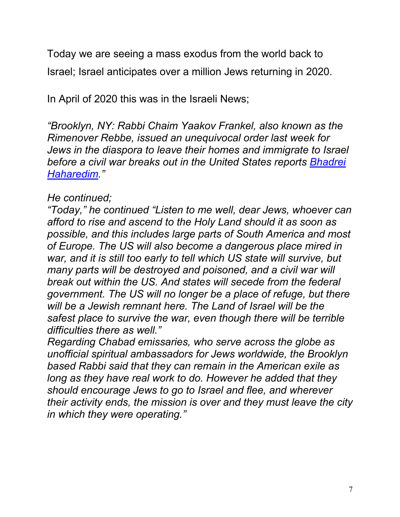Today we are seeing a mass exodus from the world back to Israel; Israel anticipates over a million Jews returning in 2020.

In April of 2020 this was in the Israeli News;

*"Brooklyn, NY: Rabbi Chaim Yaakov Frankel, also known as the Rimenover Rebbe, issued an unequivocal order last week for Jews in the diaspora to leave their homes and immigrate to Israel before a civil war breaks out in the United States reports Bhadrei Haharedim."*

### *He continued;*

*"Today," he continued "Listen to me well, dear Jews, whoever can afford to rise and ascend to the Holy Land should it as soon as possible, and this includes large parts of South America and most of Europe. The US will also become a dangerous place mired in war, and it is still too early to tell which US state will survive, but many parts will be destroyed and poisoned, and a civil war will break out within the US. And states will secede from the federal government. The US will no longer be a place of refuge, but there will be a Jewish remnant here. The Land of Israel will be the safest place to survive the war, even though there will be terrible difficulties there as well."*

*Regarding Chabad emissaries, who serve across the globe as unofficial spiritual ambassadors for Jews worldwide, the Brooklyn based Rabbi said that they can remain in the American exile as long as they have real work to do. However he added that they should encourage Jews to go to Israel and flee, and wherever their activity ends, the mission is over and they must leave the city in which they were operating."*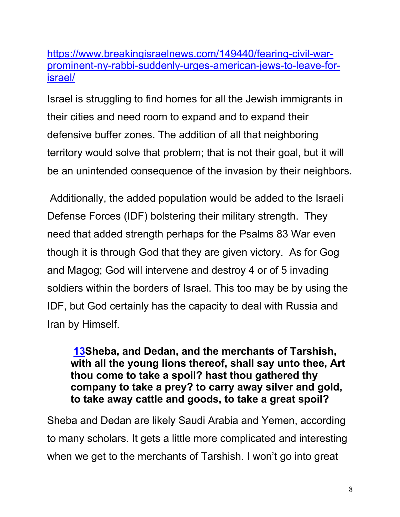https://www.breakingisraelnews.com/149440/fearing-civil-warprominent-ny-rabbi-suddenly-urges-american-jews-to-leave-forisrael/

Israel is struggling to find homes for all the Jewish immigrants in their cities and need room to expand and to expand their defensive buffer zones. The addition of all that neighboring territory would solve that problem; that is not their goal, but it will be an unintended consequence of the invasion by their neighbors.

Additionally, the added population would be added to the Israeli Defense Forces (IDF) bolstering their military strength. They need that added strength perhaps for the Psalms 83 War even though it is through God that they are given victory. As for Gog and Magog; God will intervene and destroy 4 or of 5 invading soldiers within the borders of Israel. This too may be by using the IDF, but God certainly has the capacity to deal with Russia and Iran by Himself.

**13Sheba, and Dedan, and the merchants of Tarshish, with all the young lions thereof, shall say unto thee, Art thou come to take a spoil? hast thou gathered thy company to take a prey? to carry away silver and gold, to take away cattle and goods, to take a great spoil?**

Sheba and Dedan are likely Saudi Arabia and Yemen, according to many scholars. It gets a little more complicated and interesting when we get to the merchants of Tarshish. I won't go into great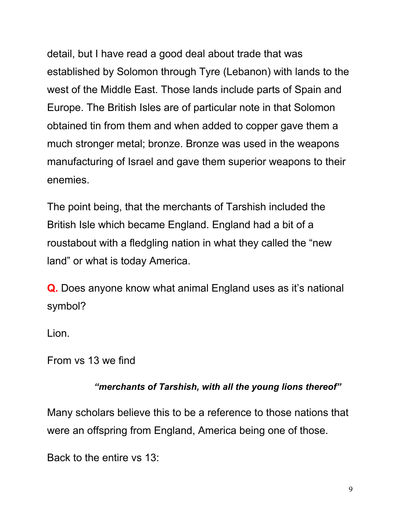detail, but I have read a good deal about trade that was established by Solomon through Tyre (Lebanon) with lands to the west of the Middle East. Those lands include parts of Spain and Europe. The British Isles are of particular note in that Solomon obtained tin from them and when added to copper gave them a much stronger metal; bronze. Bronze was used in the weapons manufacturing of Israel and gave them superior weapons to their enemies.

The point being, that the merchants of Tarshish included the British Isle which became England. England had a bit of a roustabout with a fledgling nation in what they called the "new land" or what is today America.

**Q.** Does anyone know what animal England uses as it's national symbol?

Lion.

From vs 13 we find

#### *"merchants of Tarshish, with all the young lions thereof"*

Many scholars believe this to be a reference to those nations that were an offspring from England, America being one of those.

Back to the entire vs 13: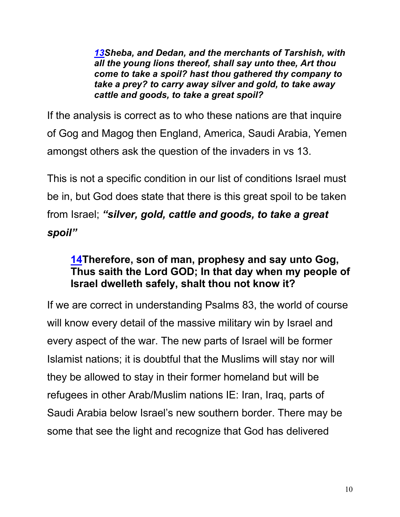*13Sheba, and Dedan, and the merchants of Tarshish, with all the young lions thereof, shall say unto thee, Art thou come to take a spoil? hast thou gathered thy company to take a prey? to carry away silver and gold, to take away cattle and goods, to take a great spoil?*

If the analysis is correct as to who these nations are that inquire of Gog and Magog then England, America, Saudi Arabia, Yemen amongst others ask the question of the invaders in vs 13.

This is not a specific condition in our list of conditions Israel must be in, but God does state that there is this great spoil to be taken from Israel; *"silver, gold, cattle and goods, to take a great spoil"*

## **14Therefore, son of man, prophesy and say unto Gog, Thus saith the Lord GOD; In that day when my people of Israel dwelleth safely, shalt thou not know it?**

If we are correct in understanding Psalms 83, the world of course will know every detail of the massive military win by Israel and every aspect of the war. The new parts of Israel will be former Islamist nations; it is doubtful that the Muslims will stay nor will they be allowed to stay in their former homeland but will be refugees in other Arab/Muslim nations IE: Iran, Iraq, parts of Saudi Arabia below Israel's new southern border. There may be some that see the light and recognize that God has delivered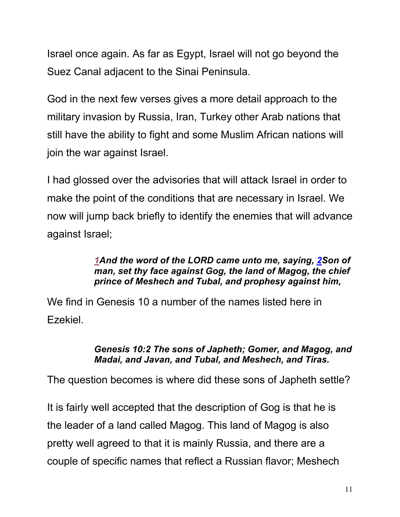Israel once again. As far as Egypt, Israel will not go beyond the Suez Canal adjacent to the Sinai Peninsula.

God in the next few verses gives a more detail approach to the military invasion by Russia, Iran, Turkey other Arab nations that still have the ability to fight and some Muslim African nations will join the war against Israel.

I had glossed over the advisories that will attack Israel in order to make the point of the conditions that are necessary in Israel. We now will jump back briefly to identify the enemies that will advance against Israel;

#### *1And the word of the LORD came unto me, saying, 2Son of man, set thy face against Gog, the land of Magog, the chief prince of Meshech and Tubal, and prophesy against him,*

We find in Genesis 10 a number of the names listed here in Ezekiel.

#### *Genesis 10:2 The sons of Japheth; Gomer, and Magog, and Madai, and Javan, and Tubal, and Meshech, and Tiras.*

The question becomes is where did these sons of Japheth settle?

It is fairly well accepted that the description of Gog is that he is the leader of a land called Magog. This land of Magog is also pretty well agreed to that it is mainly Russia, and there are a couple of specific names that reflect a Russian flavor; Meshech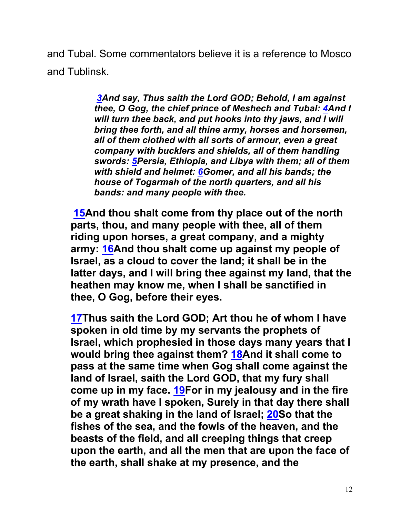and Tubal. Some commentators believe it is a reference to Mosco and Tublinsk.

> *3And say, Thus saith the Lord GOD; Behold, I am against thee, O Gog, the chief prince of Meshech and Tubal: 4And I will turn thee back, and put hooks into thy jaws, and I will bring thee forth, and all thine army, horses and horsemen, all of them clothed with all sorts of armour, even a great company with bucklers and shields, all of them handling swords: 5Persia, Ethiopia, and Libya with them; all of them with shield and helmet: 6Gomer, and all his bands; the house of Togarmah of the north quarters, and all his bands: and many people with thee.*

**15And thou shalt come from thy place out of the north parts, thou, and many people with thee, all of them riding upon horses, a great company, and a mighty army: 16And thou shalt come up against my people of Israel, as a cloud to cover the land; it shall be in the latter days, and I will bring thee against my land, that the heathen may know me, when I shall be sanctified in thee, O Gog, before their eyes.**

**17Thus saith the Lord GOD; Art thou he of whom I have spoken in old time by my servants the prophets of Israel, which prophesied in those days many years that I would bring thee against them? 18And it shall come to pass at the same time when Gog shall come against the land of Israel, saith the Lord GOD, that my fury shall come up in my face. 19For in my jealousy and in the fire of my wrath have I spoken, Surely in that day there shall be a great shaking in the land of Israel; 20So that the fishes of the sea, and the fowls of the heaven, and the beasts of the field, and all creeping things that creep upon the earth, and all the men that are upon the face of the earth, shall shake at my presence, and the**